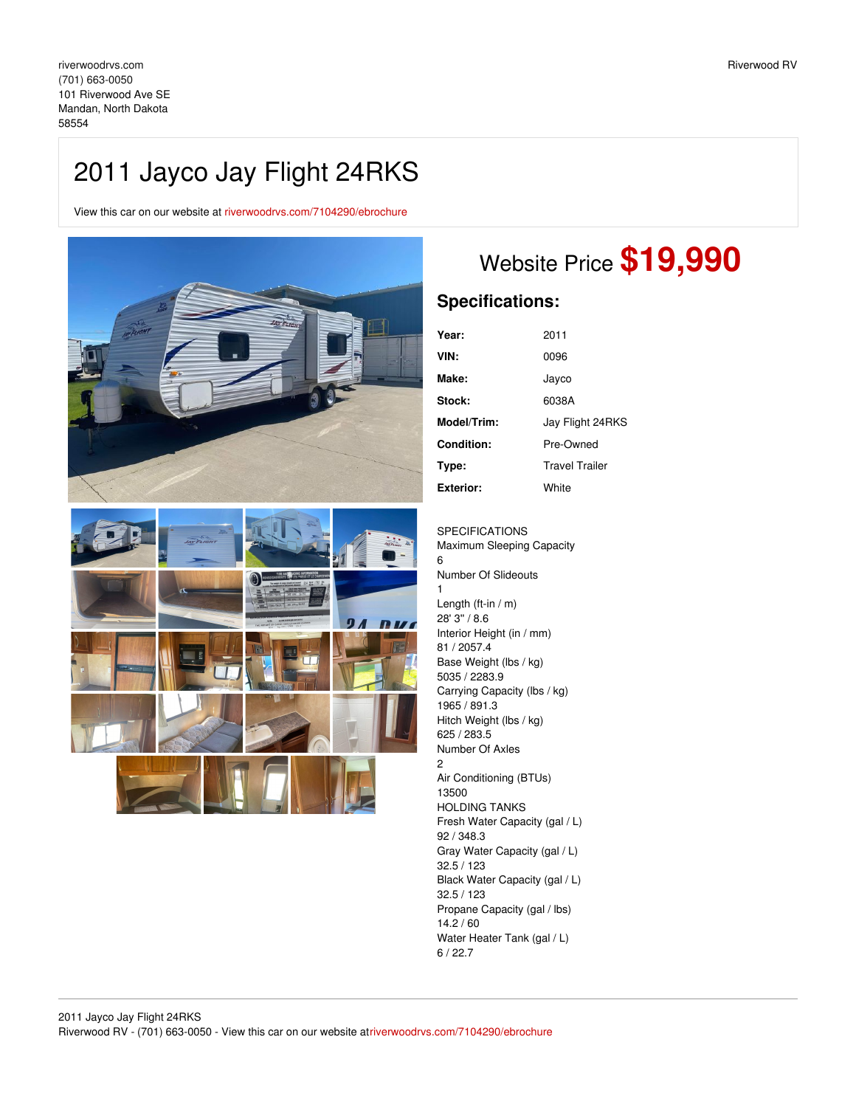## 2011 Jayco Jay Flight 24RKS

View this car on our website at [riverwoodrvs.com/7104290/ebrochure](https://riverwoodrvs.com/vehicle/7104290/2011-jayco-jay-flight-24rks-mandan-north-dakota-58554/7104290/ebrochure)



## Website Price **\$19,990**

## **Specifications:**

| Year:            | 2011                  |
|------------------|-----------------------|
| VIN:             | 0096                  |
| Make:            | Jayco                 |
| Stock:           | 6038A                 |
| Model/Trim:      | Jay Flight 24RKS      |
| Condition:       | Pre-Owned             |
| Type:            | <b>Travel Trailer</b> |
| <b>Exterior:</b> | White                 |

SPECIFICATIONS Maximum Sleeping Capacity 6 Number Of Slideouts 1 Length (ft-in / m) 28' 3'' / 8.6 Interior Height (in / mm) 81 / 2057.4 Base Weight (lbs / kg) 5035 / 2283.9 Carrying Capacity (lbs / kg) 1965 / 891.3 Hitch Weight (lbs / kg) 625 / 283.5 Number Of Axles 2 Air Conditioning (BTUs) 13500 HOLDING TANKS Fresh Water Capacity (gal / L) 92 / 348.3 Gray Water Capacity (gal / L) 32.5 / 123 Black Water Capacity (gal / L) 32.5 / 123 Propane Capacity (gal / lbs) 14.2 / 60 Water Heater Tank (gal / L) 6 / 22.7